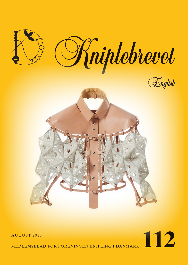

# AUGUST 2013<br>MEDLEMSBLAD FOR FORENINGEN KNIPLING I DANMARK

medlemsblad for foreningen knipling i danmark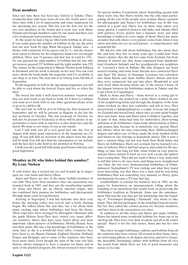## **Dear members**

Since last time there has been lace festival in Tønder. Three wonderful days with laces from all over the world and it was three days with a lot of impressions and some inspiration for the upcoming lace season. This fair was the first one for the two new members of the board and it went very well. Many Danish and foreign members came by our stand and there was a lot of pleasant conversations about lace.

At the stand we had a big jar filled with bobbins in all sizes. If you could guess the number of bobbins in the jar, the prize was our new book by Inge Wind Skovgaard: Tønder lace - a theme with variations. Every guess cost kr. 5,- and the money went uncut to charity for the temporary homes for overweight children. There was 74 guesses and that was in total kr. 370,-. No one guessed the right number of bobbins but the one who got nearest guessed 257 bobbins and the right number was 259. The winner of the competition is Margit Nielsen from Esbjerg in Denmark and the book is already on her way. You can read more about the book inside the magazine and it is available at our shop or at fairs. The next fair is in Viborg from 6th-8th of September.

In this magazine as well as the upcoming magazines you will be able to read about the festival. Enjoy and live or relive the days.

The board has held a well deserved summer vacation and they are now ready to get back to work. So if there is a subject you want us to work with or any other questions please write to us at: k-i-d@live.dk

The next fair we will be at is in Viborg the first weekend of September and we will be present in Slagelse at the fair the last weekend of October. The last weekend of October we will also be present in Fredericia so there will be plenty of opportunities to meet with us and have a chat about lace and the union. We hope to see many of you at our stands.

Last I will wish you all a very good lace day the 31st of August with many good experiences. In the magazine no. 111 page 30 you will find an overview of the places were the days will be held. You will also find the information at our website and the lace day is also held at our premises in Nyborg.

I wish you all a good fall with many good hours with lace and good inspiration.

## **Member nr.10, who hides behind this number? By Lone Nielsen**

A cold winter day, I started my car and headed up to Jægerspris, iot. visit Anna and Harry Olsen.

Anna and Harry are two of the many faithful members of our club. They have been members since the association was founded back in 1985, and they got the membership number 10. Anna and Harry are an elderly, married couple, who has combined their passion for bobbinlace and photography through many years in togetherness.

Arriving in Jægerspris, I was bid welcome into their cozy home, the morning coffee was served, and a lively chatting began. We talked about this and that, but a lot about their many exciting trips where bobbinlace had been the theme. These trips have been arranged by Østergård's Bustours with the guide Helene Scou.They have visited very many different countries, where they have seen, heard about and most important, taken pictures of bobbinlace. Mostly, Helene Scou was their guide. She has a big knowledge of bobbinlace at the same time as she is a wonderful story teller. Countries they have been to, are Russia, Finland, England, Sweden, Holland, France and Belgium, and to some of the countries, they have been more times. Even though the plan of the tour was laid, Helene always managed to have a surprise for them, and in spite of the planned program, she always seemed to have time

We did not only talk about bobbinlace, but also about their life, and how they met so many years ago. I could hear from Anna's dialect, that she did not come from Zealand, but from Jutland. It turned out, that Anna originated from Sønderjylland (Southern Jutland) and her grandparents was neighbors of Lorenzen's farm in Ballum. My chin dropped, my brain started rotating, and some loose threads were connected there and then! The history of Hansigne Lorenzen was refreshed, also Anna Kjems and Anne Stubbe Horn's history and how they were connected, was put into place. Wonderful to nod your head when hearing about one of the stories I knew of, the dispute between the bobbinlace makers in Tønder and the Lady Circle in Copenhagen.

Back to Anna and Harry - Anna moved as a young girl to Zealand, where she worked on a farm. Harry worked on one of the neighboring farms, and through the daughter of the farm Anna worked on, they met eachother and fell in love. They moved back to Sønderjylland for a couple of years, but longed for Zealand and moved back, where they at some point bought their own farm. Anna and Harry have 6 children together, and in spite of that, Anna had time for embroidery, dress-sewing and most of all, bobbinlace. Anna looks affectionately at Harry and praises him, because he is somebody very special. Harry has always taken his turn concerning their children,changed diapers and taken care of them, made the food, washed cloths and whatever else belongs to household chores. This is now a days a natural thing, but not way back then. Both Anna and Harry do bobbinlace, Harry not so much, but he learned it at a time of sickness. Harry had had surgery, and could not lift anything, so time was long for him. Anna found an easy pattern, and got Harry started. It went on very well, except, the spiders were teasing him. They did not want it Harry's way. Anna had to tell him what to do once more, and things were straightened out. Once the two were demonstrating bobbinlace at Frilandsmuseet. Sydsjælland's TV was visiting, and what they found most interesting, was that there was a man, and he was doing bobbinlace.That was something very unusual, so Harry, quite involuntarily, became a TV-star that day.

Landbobladet (a journal for farmers) had in 1985, on the pages for housewives, an announcement, telling about the founding of an association that would work on preserving the bobbinlace tradition in Denmark. Anna saw the announcement.This was the way they got the knowledge that the founding of "Foreningen Knipling i Danmark" was about to take shape. They did not participate in the founding General assembly, but they called the contact person iot. become members, and have been in the association ever since.

In addition to all this, Anna and Harry also make bobbins. Harry has turned some wonderful bobbins for Anna out of an old bog oak. They were very dark of colour and all in all, rather special. Harry is not the only turner, Anna also has her own lathe.

They have brought bobbinlace- pillows and bobbins from all the countries they have visited. All around in their home, there are interesting pillows, in all shapes and sizes, and not to forget, the incredibly fascinating cabinet with bobbins from all over the world, from which there are lots of good memories and stories to be told.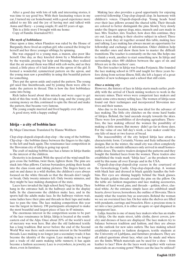After a good day with lots of talk and interesting stories, it was time to say good bye. With their fascinating voices in my ear, I turned my car homebound, with a good experience more added to my life and the joy of having met and talked with Anna and Harry - a young couple, 81 and 83 years of age.

This is a little story I brought with me home:

Copy of Familie Journalen1911:

#### *The myth of bobbinlace:*

Once upon a time, when Flanders was ruled by the House of Burgundy, there lived an orphan girl, who earned the living for herself and her three younger siblings, by spinning.

She was engaged to a young man, a mason, also poor like herself. One day, as they kneeled down by a Madonna-alter by the wayside, praying for help and blessings, they realized that the air around them was filled with cob-webs, and as they raised, a little piece of it laid down on the apron of the girl. It formed a wonderful, symmetrical pattern on the apron, and the young man saw a possibility in using this beautiful pattern for something.

They put the apron aside and copied the pattern. The young girl used fine linenthreads, and by joining them were able to make the pattern in thread. This is how the first bobbinlace came into being.

Rich ladies heard about this miracle and were eager to get hold of this fine work. It did not take long, and the young girl, earning money on this, continued to spin the thread and make the pattern, that became very famous.

The young couple married and lived happily ever after.

A good story, with a happy ending!

#### **Idrija – a city of bobbin lace**

By Maja Cimerman. Translated by Hanne Wolthers

Clop-clop-clopedi-clopedi-clop-clop – the song of the bobbins. Clip-clop – the bobbins dance between the fingers to the right, to the left and back again. The renaissance lace competition in the Slovenian city of Idrija is going top speed.

The craft of making bobbin lace has a future in Idrija thanks to the interest of the children.

Dexterity is in demand. With the speed of the wind small fingers cross the bobbins, twist them, tighten them. The pins are stuck into blue pillows. Curious bystanders, poking their heads into the class room and taking pictures. The fingers hurry on and on and dance in a wild rhythm, the children's eyes always focused on the white threads so that the threads don't tangle or break. Only twenty minutes left. Only twenty minutes, and they might be lace making champion of the state.

Laces have invaded the high school Jurij Vega in Idrija. They hang in the entrance hall, in the hallways and in the display halls. In the classrooms the children make lace, and in the sports hall the adults make lace. In the hallways visitors wait, some ladies have their pins and threads in their laps and make lace to pass the time. The lace making competition this year was the largest in history. 198 participants attempted to make the most beautiful and largest piece of lace in 45 minutes.

The enormous interest in the competition seems to be part of the lace renaissance in Idrija. Idrija is located at the southeastern end of the Alps. Once about 20% of the world's need of mercury was won here. But also the old fashioned textile has a long tradition. But never before the end of the Second World War was there such enormous interest in the beautiful threads. Lace making is no longer just a secondary trade; it has become the identity of the region. Lace making is no longer just a trade of old aunts making table runners; it has again become a fashion accessory. Lace is everywhere, in jewelry, on shoes, even in furniture.

Making lace also provides a good opportunity for enjoying convivial fellowship. Clop-clop-clopedi clop. In harmony with children's voices. Clopedi-clopedi-clop. Young heads bend over their lace pillows around the shared table. Their threads are colored to better distinguish the pins. Slowly. Very slowly under the fingers appear dogs, mice, mussels and cars made in lace. Mrs. Teacher, mrs. Teacher, how does this continue, they cry out. Lace making is their elective subject in school. Three times a week they sit together around this table, making lace and talking. Lace making has always meant an opportunity for fellowship and exchange of information. Older children help the smaller ones and show them how to master the difficult transitions. The teacher is constantly on the run. She helps one to finish a work, another to start something new. In Idrija and surrounding cities 400 children between the ages of six and fifteen are in the teachers' care.

The first teacher in Idrija was Ivanka Ferjancic. She founded the lace making school in 1876 and taught for three years before dying from serious illness. Still, she left a legacy of a great number of new techniques and a school that still exists.

#### *Once a mining city*

However, the history of lace in Idrija starts much earlier, probably with the arrival of Check mining workers to work in the mercury mines. Their wives were competent lace makers and made some extra money selling lace. The women of Idrija soon found out their techniques and incorporated Slovenian motives and their names.

Also due to its location, Idrija was ideal for the advance of lace making. The little city clutches on the stone hard banks of Idrijca. Behind, the land ascends steeply towards the skies. There were few possibilities of developing agriculture. Therefore, the lace making offered the women the possibility of making a little money. But money didn't go far in those days. For the value of one full day's work, a lace maker could buy one kilo of meat or two loaves of bread.

The inaccessibility of the city helped Idrija lace attain a characteristic form. Certainly, Vienna and Italy influenced the designs. But in the winter, the small city was often completely isolated, so the outside influences only arrived in small homeopathic doses. The native traders designed the patterns and they bought the finished laces from the women. These traders also established the trade mark "Idrija lace", as the products were sold by this name all over Europe and in the USA.

Clopedi-clop-clop-clopedi-clop eccoes in the courtyard of the Gewerkenegg Castle. Clop-clop-clopedi-clop. A woman with black hair and dressed in black quickly handles the bobbins. Her eyes are shining happily behind the black glasses. She braids golden threads around the pins on the pillow. On the table are fashion magazines and lace making accessories, bobbins of hard wood, pins, and threads – golden, silver, classical white. At the entrance simple laces are exhibited: small hearts, clover leaves, horseshoes, the outline of Slovenia. This is mainly what the tourists buy as souvenirs. Behind the woman we see an oversized lace fan. On her sides the shelves are filled with pendants, earrings and bracelets. Here a precious stone is set into a lace pattern, it is either an agate or opal disguised in transparent lace.

Lidija Anzelm is one of many lace makers who has an studio in Idrija. On the main street, table cloths, duvet covers, jewelry and dresses of laces are displayed. The lace makers try to balance between tradition and fashion, and they are always on the outlook for new sales outlets. The lace making school establishes contacts to fashion designers, textile students at the University of Ljubljana, and furniture producers. They are all asked questions about lace, what can be made and where are the limits. Which materials can be used for a shoe – from leather to lace? How do the laces work together with various materials on an evening gown? Where can the lace be utilized?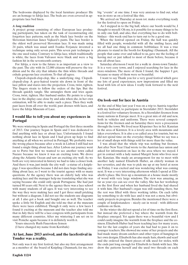The bedrooms displayed by the local furniture producer Ille are an homage to Idrija lace. The beds are even covered in appropriate lace bed linen.

#### *A long tradition*

A project group consisting of other European lace producing participants, has taken on the task of reconstructing old, forgotten lace patterns, such as the black lace border on the Slovenian historian Janez Vajkard's pants. The lace border is the oldest well preserved Slovenian lace. It was made using 24 pairs, which was usual until Ivanka Ferjancic invented a technique using only seven pairs. This seven pair technique is the one used today. Contrary to Idrija lace, which traditionally is white, the laces from Valvasor were black and were a big fashion hit in the seventeenth century.

For Idrija, a view to the future is as important as a view to the past. The city with its 12,000 citizens will preserve the tradition and be the city that inhales the thin white threads and exhale gorgeous lace creations. To that all agree.

Clopedi-clopedi-clop-clop, like a underlying ring. Clopediclopedi-clop. A grey-haired tourist sits down in front of the lace pillow and stares into the projection. Cross, twist, tighten. The fingers strain to follow the orders of the lips. But the threads quickly tangle. She untangles them and tries again. Cross, twist, tighten. Her husband smiles. He points to a large lace in the display case close by and asks when she, in her own estimation, will be able to make such a piece. Then they walk past laces from all over the world, past dresses with laces, and leave the Idrija Museum of Lace.

# **I would like to tell you about my experiences in Portugal**

We were wintering in Spain and Portugal the first three months of 2013. Our journey began in Spain and I was dedicated to find anything with lace or about lace. Unfortunately I found nothing about lace in Spain and I had given up hope to find anything at all when we arrived in Portugal. We probably were the wrong places because after a week in Lisbon I still had not found a single thing about lace. After Lisbon our journey went on to Porto but first we wanted to see another town called Nazare because we knew it was an exciting town. We drove along the Atlantic Ocean and saw an exciting city wall. As we both are very interested in history we had to take a closer look. And there it was, just inside the city wall - a statue of a kniplepige. I was speechless because I did not dare hope finding anything about lace, so I went to the tourist agency with so many questions. At the agency there was an elderly lady who was making lace and the manager help me translating what she was saying because she could only speak Portuguese. She had just turned 80 years old. Next to the agency there was a lace school with many students of all ages. It was very interesting to see the way they were making lace and I got three small pricking but without a diagram. I did not see the students use diagrams at all. I also got a book and bought one as well. The teacher spoke a little bit English and she told me that at the museum there were laces exhibited. Though it only were a few laces I found it exciting at the museum and the teacher also told me that in July there will be a lace congress with participants from many different countries. After my wintering I am set on to visit Peniche again because it is definitely worth it.

Yours sincerely Ruth Fauerskou-Jensen

(I have changed my name from Korsbæk)

# **At last, June 2013 arrived, and the lacefestival in Tønder was a reality.**

Not only was it my first festival, but also my first arrangement as a member of the board of Knipling i Danmark; for me, two big "events" at one time. I was very anxious to find out, what was in store us on a festival like this.

We arrived on Thursday at noon iot. make everything ready for the festival to open on Friday.

As I stepped in to the big hall, where our booth would be, I thought to myself: Oh my, is it possible for so many things to be in only one hall, and also, that everything has to do with bobbinlace - this week-end has to turn out to be a good one.

When the festival opened on Friday, the hall was quickly filled with people, wonderful with all the smiling faces, and we all had one thing in common: bobbinlace. It was a true pleasure to stand in the booth for Knipling i Danmark. All the people that came over and talked to us, gave me the feeling of having met or just talked to most of them before, because it was all about lace.

Saturday afternoon I went for a walk in down-town Tønder. It is a very cozy town, and I enjoyed searching for lace in the store-windows. The more of them I found, the happier I got, because so many of them were so beautiful.

I want to say Thank you for a very good festival which gave me lots of good experiences, new impressions and filled my head with lots of new ideas. I really look forward to the next festival.

# **On look-out for lace in Austria**

At the end of May last year I was on a trip to Austria together with my husband, to participate in Sternfahrt 2013. Sternfahrt is a festival for voluntary firemen. At a Sternfahrt firemen from many nations in Europe meet. It is a great mix of old and new, both in vehicles and uniforms. There were several competitions for the firemen and on Saturday there were a procession through the town. We lived near Klopeiner See in Sct. Kanzian in the area of Kärnten. It is a lovely area with mountains and lakes everywhere. It is also a so called area for tourists, but we did not spend time on the everyday things. What we say was a lot of small shops with things sold for more than the value.

I was afraid that the whole trip was nothing but firemen. Just after New Year I had wrote to the Austrian lace union and asked for information on lace in the area where we stayed. I got in contact with a lady named Margrit Semi who lives near Sct. Kanzian. She made an arrangement for me to meet with another lady named Elisabeth Huber, an elderly woman in her seventies, and she was to pick me up at my hotel at noon on Friday. I was excited and was wondering what was coming next. It was a very interesting afternoon which I spend at Elisabeth's place. She lives up a mountain at a house made mostly of wood with very large windows. The view was amazing, as far as your eye can see over the valley. She has her workshop on the first floor and when her husband lived she had shared it with him. Her husband's organ was still standing there, but the rest was filled with three working tables. On each table lay something to do with lace and it was not a mess, but obviously projects in progress. Besides the mentioned there were a couple of kniplestandere - nicely cut in wood - with different cushions on them.

In the winter she did not spend a lot of time on the first floor, but instead she preferred a bay where the warmth from the fireplace emerged. Yet again there was a beautiful view and I could easily imagine the warmth from the fireplace and the cosiness. Elisabeth Huber had been teaching lace for many years, but for the last couples of years she had had to pass it on to younger teachers. She showed me some of her projects and she had made many dream catchers and other types of hangings in her own designs. Elisabeth has also made hats, shawls and scarf and she ordered the finest pieces of silk used for stoles, with the ends just long enough for Elisabeth to finish with lace. She drew the patterns herself and she used two threads on each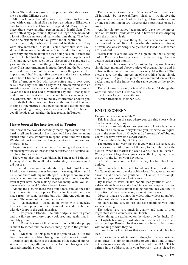bobbin. The style was eastern European and she also showed me a beautiful Milanese lace.

After an hour and a half it was time to drive to town and meet with Margrit Semi. She has been a student at Elisabeth's and took over when Elisabeth resigned. At Margrit Semi's place there were another person named Ingrid Sem. They were both at my age, around 30 years old. Ingrid Sem has made a lot of pillows, runners and many other fine things. They both made fine ornaments and it all gave a lot of inspiration.

It was not only I who was interested in their work. They were also interested in what I could contribute with. So I showed them some handkerchiefs in Tønder lace and they were very impressed about the lace being so slim. Besides the handkerchiefs I had brought some of our most popular scarf. They had never seen such, so we discussed the many uses of yarn and they found something useful for all their yarn. I had some Christmas ornaments in metal thread and the both were surprised. Even some of the more ordinary things seemed to impress and I had brought five different make lace magazines which both Elisabeth and Ingrid studied closely.

The afternoon ended with some coffee and a very good cake. I was very tired after a day with German mixed with an Austrian accent because it is not the language I am best at. Never the less I had had a wonderful day and I managed to understand that next year there would be a lace arrangement in Kärntern, but I had not found any information about it yet.

Elisabeth Huber drove me back to the hotel and I looked at some of the pictures I had been taking and during both the evening and night many new ideas came to life. I do hope to get all the ideas tested after the lace festival in Tønder.

#### **I have been at the lace festival in Tønder**

and it was three days of incredibly many impressions and it is hard to tell one impression from another. I have also met many friends and it was wonderful to spend some time with them. We shared our ideas and exchanged advices for our common interest - lace.

Again this year there were many fine and good stands with an amazing variety of threads and patterns. And of course you just have to own them.

There were also many exhibitions in Tønder and I thought I managed to see them all but unfortunately there are some I did not see.

In the hall there was an exhibition by Ulrike Volcker and I had to see it several times because it was magnificent and I just stood there with my mouth open. Perhaps there are some people who have seen me with my gaping face. I must say that even if you have been making lace for many years you will never reach the level for these laced pictures.

Among the pictures there were four almost similar ones and they represented two poppies. They were fantastic and was made from the same pricking but with different colours and ground. The names of the four pictures were:

1. Valenciennes - laced all in white with a delicate flower at the top and bottom. It looks like a spider web filled with dewdrops in the early morning.

2. Polycrome Blonde - the outer edge is laced in green and the flowers are more poppy coloured and again that incredibly ground.

3. Point de saxe - All white and it looks like the poppy is about to wither and the seeds is mingling with the ground amazing.

4. Mechlin - In this picture it is again all white. But the lace is mounted on a black background and it looks fantastic.

I cannot stop thinking of the changing of the general impression only by using different thread colour and backgrounds. I learned something new yet again.

There were a picture named "unterwegs" and it was laced all in black - but in two different black so it would give the impression of shadows. I got the feeling of two roads meeting or one road splitting in two. Nevertheless both roads passed a river.

Another picture named "zugeknoepft" gave me the impression of two tusks upside down and in between it was dripping from the primeval leafs.

I am fascinated by these thoughts, that is expressed in these pictures and I would like to know what this artist was thinking of while she was working. The pictures is laced in silk thread 4/20 and 6/20.

"Mein Jahr" is a round lace with a green line that is getting darker. Perhaps it has been a year that started bright but was getting darker each month!

"Die farbe blau - Am meer" - took me by surprise. It was a simple lace, mounted above a piece of organza fabric and in between there were long laced lines of golden thread. That picture gave me the impression of everything being simple and peaceful. Again this picture was mounted on a black background and the frame was the same colour as the golden thread.

These pictures are only a few of the beautiful things that were exhibited from Ulrike Volcker.

I will never forget the exhibition.

Kirsten Brodersen, member 1282

## **KNIPLEC@FEEN**

Do you know about YouTube?

This is a place on the net, where you can find short videos about almost everything.

If you want somebody to show you how to knot a bow-tie or how to fix a hole in your bicycle-tire, you just write your question in the searchbox on Google and afterwards YouTube, and you will receive answers as short videos.

You start the video by clicking on it.

The picture is not very big, but if you want a full screen, you just click on the little frame all the way to the right under the picture - when the marker is placed over it, it sais "full screen". When you want to go back, you click on the key saying Esc, all the way to the left on your keyboard.

But this is not about neck-ties or bicycles, but about bobbinlace.

Unfortunately, I have not found any Danish videos on YouTube about how to make bobbin-lace. If you, for ex. write - "how to make linenstitch youtube"- in Danish, in the Googlesearchbox, no results at all will show up.

Try instead to write "make bobbin lace youtube", and 10 videos about how to make bobbinlace come up, and if you click on "more videos about making bobbin lace youtube" at the bottom of the screen, many more videos show up.

Observe, that, as you start the video, other videos about bobbinlace will also appear on the right side of your screen.

So, start at the top, or just choose something you think sounds exciting.

The videos vary very much in quality, and some of them might start with a commercial in Danish.

When things are explained on the video, one feel lucky if it is in English, because you will also find videos in for ex. Spanish or perhaps Russian. In that case, you have to be content with looking at what they do.

I have found a few videos that show how to make bobbinlace.

I will write the whole internet address, but I have shortened them, since it is almost impossible to copy this kind of internet addresses correctly. The shortened address HAS TO be written in the addressbox in your browser - this is placed on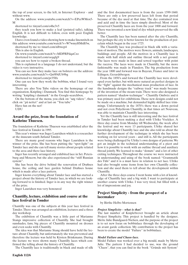the top of your screen, to the left, in Internet Explorer - and without www.

On the address: www.youtube.com/watch?v=EPezWMox5- M

shortened to: tinyurl.com/o4hc3v5

they teach you how to make a leaf (pointed tally), talking English. It is not difficult to follow, even with poor English knowledge.

I have even found a video showing how to make linenstitch on this address: www.youtube.com/watch?v=W7wmyHMsB5w,

shortened by me to: tinurl.com/nlbwcp4

This is also in English.

On www.youtube.com/watch?v=MDPRPdquCzo

shortened to: tinyurl.com/ocqqfg9

you can see how to repair a broken thread.

This is explained in a language I do not understand, but the video is very instructive.

You can see how they make lace on bolsters on the address: www.youtube.com/watch?v=Qn9l9dUb9bg

shortened to: tinyurl.com/pr35lfx

One can see how they work the bobbins, what I found very interesting.

There are also You Tube videos on the homepage of our organization, Knipling i Danmark. You find this homepage by writing "knipling i danmark" in the Google-searchbox.

On the bottom of the menu, you click on "søg videre", then click on "på nettet" and at last on "You tube"

Have fun on the net! UDU

## **Award the prize, from the foundation of Kathrine Thuesen.**

The foundation of Kathrine Thuesen was established after the lace festival in Tønder in 1995.

This year's winner was Inger Lauridsen which is a researcher at the museum south Jutland Tønder.

There are many good reasons why Inger Lauridsen is the winner of the prize. She has been putting the "spot-light" on Tønder lace and she can tell many stories about people related to the area and there lace history.

Inger has recently arranged and exhibited lace in Sct. Petersburg and Moscow, but she also experienced the "stiff Russian system".

She has been the drive behind the renovation of Drøhses house, the ceiling and lace garden behind Drøhses house which is made after a lace pattern.

Inger knows everything about Tønder lace and has started a project about the history of Tønder lace, in which we are looking forward to is finished. Inger is in any way the right winner of the prize.

Inger Lauridsen was very honoured

#### **Chantilly, lecture, exhibition and course at the lace festival in Tønder**

Chantilly was one of the subjects at this year lace festival in Tønder. There was arranged an exhibition, lectures and a three day workshop.

The exhibition of Chantilly was a little part of Marianne Stangs impressive collection of Chantilly. She had brought sunshades, fans, big pieces of Chantilly mounted on dresses and even socks with Chantilly.

The idea was that Marianne Stang should have held the lecture about Chantilly, but unfortunately she was prevented and therefore the lecture was held by Kirsten Brinkmann. During the lecture we were shown many Chantilly laces which confirmed the telling about the history of Chantilly.

The Chantilly lace is traditionally in black and made of silk

and the first documented laces is from the years 1599-1660. There are only a few preserved laces left from that period because of the dye used at that time. The dye contained iron and acid and in time the laces simply dissolved. Most of the preserved Chantilly laces are from the year 1800 and forward. There was invented a new kind of dye which preserved the silk better.

The Chantilly lace has been named after the city Chantilly, but perhaps the city is better known for the production of porcelain which began in the year 1725.

The Chantilly lace was produced in black silk with a variation of motives. The motives were flowers, animals, landscapes, buildings and people. All the motives in a Chantilly lace is made with half stitch and outline thread with a net ground. The laces were made in lines and sewed together with point the raccroc. The laces were made in Chantilly, but the more fashionable was made in Flanders. The big production from the year 1800 and forward was in Bayeux, France and later in Edingen, Gerardsbergen.

From the 1850's and forward the Chantilly lace were developed even further, but with more natural an perfect designs in the "fight" against the mechanical mass production of lace. In the handmade designs the "railway track" was made because of the invention of the steam train. There were also designed a pattern named "shadow-technique" - Chantilly Ombrée and it was primary used for exhibitions. These new designs could not be made on a machine, but demanded highly skilled lace trimmings. Unfortunately in the 1870's there was a down period and not even Polychrom Chantilly, in that times art Nouveau, was able to maintain Chantilly lace interesting.

Yet the Chantilly lace is still interesting and the lace festival in Tønder had been making a deal with Ulrike Voelcker. A three day course from Monday till Wednesday, the week after the festival and we were 13 participants. Ulrike shared her knowledge about Chantilly lace and she also told us about the further development of the technique in which she has been working on for several years - and still is. All the participants were being challenged by Ulrike's own designs of patterns. We got an insight in the technical understanding of a picot and how it is possible to work with an outline thread and auxiliary thread jointly. We learned to make "donuts" and a lot of other exiting techniques. Throughout the course we were instructed in understanding and using of the book named: "Grammatik des Tüls" and it is a must have in relation to net lace. Ulrike had also brought some items from her own Chantilly collection and she used them to tell about the development within Chantilly.

After the three days course I went home with a lot of knowledge of Chantilly lace and a big wish. I want to participate at another course with Ulrike. I was very tired, but filled with a lot of impressions and joy.

## **Project Simplicity - from the prospect of a lacemaker**

by Birthe Helbo Mortensen

#### *Project Simplicity - what is that?*

The last number of Kniplebrevet brought an article about Project Simplicity. This project is handled by the designer, Mette Julie Bundgaard-Nielsen, and the purpose of the project is to set new focus on bobbinlace through the developing of an avant garde collection. My contribution to the project has been to create the model "Failure" in bobbinlace.

#### *Model Failure and Chaos-lace.*

Model Failure was worked over a big mould, made by Mette Julie. The pattern I had decided to use, was the ground "Chaos", that you can find in the book "Gründe mit System"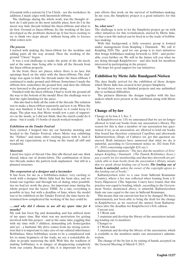(Grounds with a system) by Uta Ulrich. - see the worksheet. In addition, I made edges with linenstitch-ribbons.

The challenge during the whole work, was the thought of how do I add pairs in the most suitable place, how do I in the nicest way hide threads behind the linen-ribbons and what to do first: Ground or linen-ribbons. So, the working of the lace developed as the problems showed up. It has been exciting to try to think two steps ahead - without being able to foresee what comes next.

#### *The process*

I started with making the linen-ribbon for the neckline and adding pairs all the way around. Then the working of the ground "Chaos" began.

It was a real challenge to make the point of the slit nicely and at the same time being able to hide all the threads from the linen-ribbon properly.

In the front, there are places, where there is no lace, but openings lined on the sides with the linen-ribbons. The challenge was again to hide the threads under the linen-ribbons. I continued to make ground and ribbons. Sometimes I made the ribbons first, sometimes the ground first, and then the ribbons were fastened to the ground as I went along.

Finished with the linen-ribbons, I had to work the ground all the way to the bottom of the mould. Here the challenge was to find the right finishing for the piece.

- this also had to hide all the ends of the threads. The solution was to make a linen-ribbon separately and sew it on. When the lace was finished, it had to be starched, so it could keep it's shape. The plan was, that Mette would sew a pair of supporters on the inside, as I did not think, that the starch could do it alone - but it could. 1½ bottle of starch worked wonders!

#### *Exhibition on the Tønder Festival*

Very excited, I hopped into my car Saturday morning and headed to the Tønder Festival, where Mette was exhibiting the "Failure" and many other exciting pieces with it. And it met all my expectations, as it hung on the stand, all stiff and wonderful.

#### *Materials*

I used two types of thread: One thin silk-thread and one thick thread, taken out of denim-fabric. The combination of those two threads, makes the pattern look unplanned - but still in a planned structure.

#### *The cooperation of a designer and a lacemaker*

It has been, for me as a bobbinlace-maker, very exciting to work with a designer. Mette Julie had the basic idea, and we found out together and through lots of dialog, what possibilities we had iot. work the piece. An important issue during the whole project was the factor: TIME. As a rule, everything is possible in lace, but with a deadline of June, where the model was to be exhibited on the Tønder Festival, the time factor determined how complicated the working of the lace could be.

#### *.....and why did I choose to use all my spare time for 4 months?*

My task has been big and demanding and has utilized most of my spare time. But what was my motivation for getting involved with this project - and at the same time, joggling that with my time with 3 children, demanding job, home/garden and yes - a husband. My drive comes from my strong conviction that it is important to take care of our cultural inheritance: Bobbinlace. Since bobbinlace seems to be a complicated task for so many beginners of the trade, we see a remarkable decline in people mastering the skill. With this, the tradition of making bobbinlace is in danger of disappearing completely from our county. Because of this, it is important for me to join efforts that work on the survival of bobbinlace-making. In my eyes, the Simplicity project is a good initiative for this purpose.

#### *So, what now?*

The challenge is now, to let the Simplicity-project go on with other initiatives for this revitalization, started by Mette Julie, so that a new life indeed can be bred in to the trade of bobbinlace-making.

With this background, a little resource group is formed under management from Knipling i Danmark. We call it: Knipling 2020. The goal for our group is to start initiatives that brings bobbinlace-making forwards to 2020 - and preferable, even further on. We will in the future tell you what we are doing through Kniplebrevet - and also look for members interested in participating in the project.

We hope for good support for our initiatives.

#### **Exhibition by Mette Julie Bundgaard-Nielsen**

The days finally arrived for the exhibition of those designs which Mette Julie has created in her project Simplicity.

In total there were six finished projects and one unfinished due to technical difficulties.

The pictures illustrate the designs together with the lace makers which were present at the exhibition along with Mette Julie.

#### **Change of by-law**

Change in by-law, § 3, Sec. 3:

In Kniplebrevet nr. 110, we announced that we are no longer allowed to lend out books from our association's library. The reason for this is, that a member of our association has questioned, if we, as an association, are allowed to lend out books. Our board has therefore contacted CopyDan and afterwards Kulturstyrelsen, (Dept. of Culture) iot. get this question answered. Both instances have answered that what we do, is unlawful, according to Government notice nr. 202 from Feb. 27.- 2010, concerning copyright §19, sec.1.

Kulturstyrelsen answers: *"The fact, that the members of Foreningen Knipling i Danmark (The Danish Bobbinlace Assoc.) pay a yearly fee for membership, and that they therewith are privately able to loan books from the association's library, means that we speak about lending out of books. The lending out of books is unlawful, unless the owner of the copyright agrees to this lending out of books."*

Kulturstyrelsen refer to a case from Søllerød Kommune (County), where a fee was collected when loaning from a library. Højesteret (The Supreme Court) have found, that this practice was equal to lending, which , according to the Government Notice mentioned above, is unlawful. Kulturstyrelsen finds our case equal to the case in Søllerød Kommune.

This means, that our current law has to be changed. We have, unfortunately, not been able to bring the draft for the change in Kniplebrevet, as we received the answer from Kulturstyrelsen after the deadline for Kniplebrevet's Feb. edition.

Current text:

§ 3 Work task

3. maintain and develop the library of the association including lending out to members

- Changes to
- § 3 Work task

3. maintain and develop the library of the association, which is available to the members under our association's administration.

The change of the by-law is, by raising of hands, accepted on the General Meeting of March 9. 2013.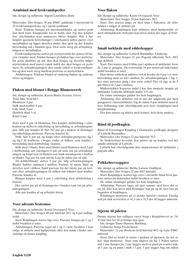# **Armbånd med ferskvandsperler**

Ide, design og udførelse: Ingrid Lauridsen, Ikast

Materialer: Der bruges 18 par DMC guldtråd, 3 myrtetråd til 25 ferskvandsperlerne og 1 metal armbånd.

Start: Trådene hænges på metalarmbåndet og sættes godt fast med store knappenåle for at holde den. Og den kniples fast efterhånden som mønsteret bliver kniplet. Når I har kniplet igennem lærredsslaget i yderkanten løftes parret over metalbøjlen og ligges derefter under den igen og der kniples lærredsslag ind i bunden igen. Den sorte streg på arbejdstegningen er metalbøjlen.

Ferskvandsperlerne sættes på en myrtetråd der passer til farven i knipler med. Tråden hænges på bøjlen lige over perlerne. En perle skubbes op når den skal bruges, og derefter følger myrtetråden med parret rundt indtil der skal bruges en perle mere. Se arbejdstegningen, den runde cirkel er ferskvandsperlen og den sorte streg imellem perlerne er myrtetråden.

Afslutningen: Trådene bindes af omkring bøjlen og enderne stives og klippes.

# **Flakon med blomst i Brügge Blumenwerk**

Ide, design og udførelse: Karen Marie Iversen, Greve Tråd: Hør, hvid 60/2 Blomsten: 8 par Stilk med krøller: 6 par Lille blad: 9 par Dobbelt blad: 5 ar Kant: 6 par

Start med 8 par til blomsten. Der kniples dobbeltslag i yderkanten og skiftevis enkeltslag og lærredsslag, se arbejdstegningen. Alle par knudes af. Sæt 3x2 par på i midten til fletninger og enkeltslags pletterne. Parrene knudes af.

Stilk: Sæt 6 par på og knipl efter arbejdstegningerne fig.1 og fig.2 til krøllerne i begge ender af stilken, som kniples i lærredsslag med dobbeltslag i kanten.

Stilk med 3 blade: Start med bladet mod blomsten med 3 par i dobbeltslag, sæt yderligere 6 par på som vist på arbejdstegningen og knipl ned til bladets rod, husk snoningerne i midten af bladet. Tag par fra som anvist. Læg de sidste par til side.

Til dobbeltbladet sættes 5 par på, følg arbejdstegningen. Bladet hækles sammen i midten. Fortsæt til næste blad og derefter ned i stilken. Saml parrene fra det første par og fortsæt efter arbejdstegningen til stilken når båndet med krøller. Parrene knudes af.

Ringen kniples med 6 par i enkeltslag med dobbeltslag i kanten.

Der sættes par på til fletningerne i bunden som vist på arbejdstegningen.

Alle par knudes af og arbejdet stives.

## **Voer advents festremse**

Ide, design og udførelse: Karin Overgaard, Voer

Materialer: Der bruges 60 par hørtråd 28/2 og 4 par indlægstråd.

Start: Kniplingen startes lige over. Parrene hænges på 2 og 2 indtil bredden er nået.

Afslutningen: Parrene tages ud 2 og 2 i hele bredden. I kan vælge at afslutte med hjælpetråde eller den måde i finder anvendeligt til denne knipling.

# **Voer flakon**

Ide, design og udførelse: Karin Overgaard, Voer

Materialer: Der bruges 29 par hørtråd i 28/2.

Start: Der startes langs en skrå linje i flakonen, alt efter måden i vælger at afslutte på.

Afslutning: Kniplingen kan afsluttes med hjælpetråde el. med råbåndsknob. Arbejdet kan stives inden det tages af brættet.

## **Smalt tørklæde med edderkopper**

Ide, design og udførelse: Lisbeth Burmøller, Vinderup

Materialer: Der bruges 22 par Pagoda silketråd, NeL. 40/2 lagt dobbelt.

Start: Der startes med 6 åbne par i spidsen af tørklædet, hvor de 2 par er gangpar. De resterende 16 par sættes på indersiden indtil bredden er nået.

Den første edderkop udføres ved at krydse de 4 par i et stort lærredsslag med en nål i midten. Se arbejdstegningen + fig. 1, her vises parrenes gang i den sorte cirkel. Det vil sige at de 4 par bliver til 2 par i midten.

Midterstykket kopieres indtil I har den ønskede længde på tørklædet. Lisbeths tørklæde måler 125 cm.

De vidste snoninger gælder for hele kniplingen.

Afslutning: Der afsluttes ved at sno det udgående par med gangparret i lærredsbåndet. Og de sidste 6 par afsluttes med at lave firfletning, som efterfølgende syes ned i kniplingen med knaphulssting.

Der kan startes og sluttes med frynser, hvis dette ønskes.

# **Bånd til jordkuglen.**

Bånd til Foreningen Knipling I Danmarks jordkugle designet af Lisbeth Burmøller.

Materialer: Der bruges 22 par hørtråd 35/2.

Se beskrivelsen hvordan den sættes op og kniples ved det smalle tørklæde af Lisbeth.

Lisbeth har efterfølgende fået inspirationen til tørklædet i pagoda silke.

## **Prikkebrevsopgave**

Ide, design og udførelse: Birthe Larsen, Gudhjem

Materialer: Der bruges 32 par 60/2 hørtråd.

Start: Kniplingen startes lige over i eternelle bånd hvor parrene sættes på indersiden indtil bredden er nået.

De vidste snoninger gælder for hele kniplingen.

Afslutning: Parrene tages ud igen samme sted hvor det er sat på. Der kan laves små fletninger bag på og de syes fast på bagsiden af kniplingen.

Kniplingen monteres på et stykke hørstof i kanten. Færdig mål på dæk servietten er 41,5 cm x 31,5 der til lægges sømrum.

# **Stjerne til juletræ**

Denne stjerne har tidligere været bragt i Kniplebrevet nr. 34. Vi har fået lov til at bringe den igen.

Ide, design: Tinne Hansen, Rødding

Udførelse Sonja Frederiksen

Materialer: 12 par Bockens hvid hørtråd 40/2 og 4 par DMC sølvtråd

Start: Det er bedst at starte i spidsen af stjernen, da det er her, man monterer. Start som angivet på fig. 1 Nålen sættes ind, 1 par hænges på, 2 par lægges med en pind på venstre side af 1 par og en pind i midt i 1.par. 3 par lægges bag om nålen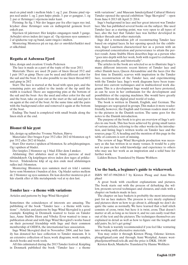med en pind midt i mellem både 1. og 2. par. Denne pind vippes ned under 1. og 2. pars højre pinde. 3. par er gangpar, 1. og 2. par er fletninger i stjernens inder kant.

Fletning: Se fig. 1 Når der lægges par fra eller tages nye ind, krydser disse fletninger som en indlægstråd gennem hvert enkelt par.

Stjernen til juletræet: Her kniples omgangen rundt 3 gange. Arbejdet stives inden det tages af. Og stjernen syes sammen i 2 af spidserne top og bund, samt ringen i midten.

Montering: Monteres på en top, der er omviklet/hæklet med et silkebånd.

## **Regatta at Aabenraa Fjord**

Idea, design and creation: Ursula Pedersen

The lace is made as a part of the topic of the year 2011

Materials: There are used 28 pairs of linen thread 35/2 and 1 pair 18/3 as gimp. There can be used and different color for the sail and the boat. It is also possible to use linen thread 60/2 and gimp in 28/2

Start: The lace is started at the head with open pair, and the remaining pairs are added to the inside of the tip until the width is reached. There are supporting pins at the bottom of the sail and the boat- Are the used and other color for the sail and the boat, take on pair out at the start at the sail and put it on again at the end of the boat. At the same time add the pairs with the background color and removed it again at the bottom of the boat.

Ending: The band is completed with small braids along the linen stich at the end.

## **Blomst til hår pynt**

Ide, design og udførelse: Yvonne Nielsen, Hørve

Materialer: Der bruges 8 par 35/2 eller 28/2 til blomsten og 6 par 35/2 eller 28/2 til bladet.

Start: Der startes i spidsen af blomsten. Se arbejdstegningen. Og i spidsen af bladet.

Der kniples 2 blomster og 1 blad. Eller dem I ønsker.

Afslutning: Det afsluttes med at binde parrene af med råbåndsknob. Og kniplingen stives inden den tages af prikkebrevet. Trådenderne klip af og den ende med afslutningen rulles ind i blomsten.

Montering: Blomsten syes sammen med en tråd i samme farve som blomsten i bunden af den. Og bladet sættes mellem de 2 blomster og syes sammen. De kan derefter monteres på et hår elastik eller et lille metalspænde ved at sy den fast.

#### **Tønder lace – a theme with variations**

Articles and patterns by Inge Wind Skovgård

Sometimes the coincidences of interests are amazing. The publishing of the book "Tønder lace – a theme with variations" - Articles and patterns by Inge Wind Skovgård is a good example. Knipling in Denmark wanted to focus on Tønder lace, Anne Stubbe Horn and Vibeke Ervø wanted to issue a publication about and with Inge Wind Skovgård's works based on their personal friendship with Inge and their common membership of OIDFA, the international lace association.

Inge Wind Skovgård died in November 2004, and her family has donated her lace collection to Tønder museum. It is an extensive collection of laces, work diagrams, work samples, sketch books and work tools.

All this culminated during the 2013 Tønder festival. Knipling in Denmark published the book "Tønder lace – a theme

with variations", and Museum Sønderjylland Cultural History Tønder opened the special exhibition "Inge Skovgård" – open from June 6 2013 till April 21 2014.

Inge's background in lace and her great interest was Tønder lace. She has published several books on the subject. She used Tønder lace as a starting point, was very open to all types of lace, also the fact that Tønder lace was further developed in thicker threads and other materials.

Inge did a tremendous job of reconstructing Tønder lace based on original laces. In her opening speech for the exhibition, Inger Lauritsen characterized her as a person with an exceptional concentration and perseverance to attain the perfect result. Anne Stubbe Horn describes Inge as a person who "goes into depth with her work, both with regard to craftsmanship, professionally, and historically".

The articles in the book are selected so as to illustrate Inge's many different interests: recent history of Tønder lace and other Danish laces, Queen Alexandrine and the laces (for the first time in Danish), scarves with inspiration in the Tønder lace, reconstruction of the Tønder lace, and experimenting with the Tønder lace. Inge's work diagrams have been transferred into current techniques and in multicolored work diagrams. This is a development Inge would not have protested, as can be seen in her enthusiasm for the development and possibilities of the copying machines. She would have greatly benefited from the digital pixel world of today.

The book is written in Danish, English, and German. The languages are segregated in groups. This makes it more readerfriendly, however, the English and German readers must refer to the pictures in the Danish section. The same goes for the notes to the Danish introduction.

The purpose of the book is to give an overview of Inge's articles in one book. This has been achieved by giving small tastes of various articles, referring to the other works in the introduction, and listing Inge's written works on Tønder lace and the sources, page 52. A heading and the mention of this page in the table of contents is sort of missing.

The review of Inge Wind Skovgårds production was necessary as she has written in so many venues. It would be a pity not to pass on her solid knowledge and experience to others who may use her work as an inspiration and a solid base for further work.

Lidden Boisen. Translated by Hanne Wolthers

#### **Use the bark, a beginner's guide to wickerwork**

ISBN 987-87-996208-0-7 by Kirsten Ploug and Anni Westphael

A great book with excellent explanations and pictures. The book starts out with the process of debarking the willow, presents several techniques and closures, and ends with a chapter on baskets made in lace.

The chapter on lace baskets is probably the most interesting part for us lace makers. The process is very nicely explained and pictures show us how to go about it, although we don't do quite the same as normally. We have learned that a half stitch consists of cross, twist; but here it is twist, cross. That doesn't matter at all, as long as we know it, and we can easily read that out of the text and the pictures. The techniques themselves are explained in detail as well as how to figure out the length and add pairs. So, let's get going!

The book is warmly recommended if you feel like venturing into working with alternative materials.

You may order it through Kirsten Ploug, Odense: kirsten. ploug@gmail.com and through Anni Westphal, Asnæs: westphaeljensen@mail.tele.dk and the price is DKK. 100,00

Kirsten Koch, Munkebo. Translated by Hanne Wolthers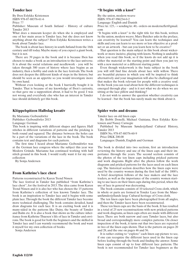# **Tønder lace**

By Iben Eslykke Kristensen ISBN 978-87-88376-61-6 Price: ??

Publisher: Museum of South Jutland - History of culture Tønder 2013

What does a museum keeper do when she is employed and one of her main areas is Tønder lace, but she does not know anything about the subject? Iben Eslykke Kristensen writes a book about Tønder lace.

The book is about lace history in south Jutland from the 16th century and till today. Maybe many of you expect a giant book, but it is not.

There are 39 pages in the book and it is because Iben has chosen to make a book as an introduction to the lace universe. It is about the social relations and needlework - you will be taken through 300 years of history where lace begins as an industry, then a hobby and ends in the lace festivals. The book does not deepen the different kinds of steps in the history, but should be seen as an appetite so you would investigate more by own hand.

Without even looking at the book I hurriedly bought it in Tønder. That is because of my knowledge of Iben's curiosity, so that gave me a supposition about, it had to be good. I was not wrong and everybody else who has an interest in Tønder lace should definitely get this book.

## **Klöppelspitzen Halbslag kreativ**

By Marianne Geibendörfer

Publisher: Geibendörfer 2013

Language: German

This book is inspiring with different shapes and figures. Half stitches in different variations of patterns and the pricking is both round and squared. The distance between the holes can be a part of the variations of the lace in the book. The book contains text and diagrams for each pattern.

The first time I heard about Marianne Geibendörfer was at the German lace congress where the subject this year was Modern Gründe. Marianne has continued working with half stitch ground in this book. I would really want it for my own collection

By Sonja Andersen

## **From Kathrine's lace chest**

Patterns reconstructed by Karen Trend Nissen

The lace festival in Tønder has published "from Kathrine´s lace chest", for the festival in 2013. The idea came from Karen Trend Nissen and it is also her who has chosen the 15 patterns from Kathrine´s collection of less known Tønder lace. The book is an inspiration to Tønder lace and it begins with some plain lace. Through the book the different Tønder lace become more technical challenging. The book contains detailed, hand draw diagrams for each lace. It is an exciting book and it is many-sided in the patterns like Daisy, the beauty of Tønder and Balm etc. It is also a book that shows us the culture inheritance from Kathrine Thuesen´s life of lace in Tønder and environs. The book is good for both the beginners and the skilled in Tønder lace and I can warmly recommend the book and want it myself for my own collection of books.

Sonja Andersen

# **"It begins with a knot"**

By: the union, modern weave ISBN: 978-87-996234-0-2 Language: English and Danish

Price: kr. 125, - + sending kr. 40, - orders on moderneflet@gmail. com

"It begins with a knot" is the right title for this book, written by the union, modern weave. Mary Butcher asks in the preface, can creativity be learned? You can learn the techniques and skills and you can learn to see more or less objective at a product or an artwork - but can you learn how to be creative?

That question is the main subject in this book about wickerwork or more incisive, playing with knots. Nothing is undoable when you read this book, so if the knots do not add up it is either the material or the starting point and then you just try with a new materiel or a different starting point.

Even though wickerwork is the basic subject in the book you will still find fine details about lace with willow. There are beautiful pictures in which you will be inspired to think alternatively and your imagination will also be challenged and that makes the book relevant for people with a creative soul. In the book you can read about how the different techniques is emerged through play - and is it not what we do when we are sitting at the lace pillow and thinking?

I do not wish to answer the question whether creativity can be learned - but the book has surely made me think about it.

## **Spider webs and dreams**

Tønder lace on old linen caps

By Bobbi Donelli, Michael Guisiana, Iben Eslykke Kristensen and Nancy Carnegie

Published by Museum Sønderjylland Cultural History, Tønder 2013

ISBN No. 978-87-88376-60-9

Price DKK 200.00

Languages: Danish, English and German

The book is divided into two sections, first an introduction reviewing the history and use of the linen caps and their importance through the years. The second section consists of the photos of the ten linen caps including pricked patterns and work diagrams. Right after the photos follow the work diagrams and pricked patterns for the laces used on each linen cap. The historical section describes how the linen caps were used by the country women during the first half of the 1800's. A brief description follows of the lace makers and the lace traders, as well as the importance of the country women starting to use laces on their linen caps during this period, when the use of lace in general was decreasing.

The book contains consists of 10 selected Cross cloth, which in whole or parts are formed in Tonder Lace from the MuseumSønderjyllands large Cultural heritage of Cross cloth.

The ten linen caps have been photographed from all angles, and then the Tønder laces have been reconstructed.

These ten linen caps are the basis of the book. It has resulted in a total of 25 new reconstructions with new pricked patterns and work diagrams, as linen caps often are made with different laces. There are both narrow and easy Tønder laces, but also broad and correspondingly more complex patterns. On closer inspection of the book, it turns out that two laces are repeated in two of the linen caps shown. That is the pattern on pages 20 and 28, and the one on pages 46 and 56.

It is rather exiting to "explore" each linen cap picture to see, if one can recognize the different laces used in the linen cap before leafing through the book and finding the answer. Some linen caps consist of up to four different lace patterns. The book is not recommended for Tønder lace beginners as the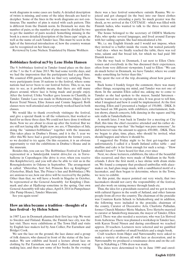work diagrams in some cases are faulty. A detailed description of twists is missing, and some of the inlay threads are hard to decipher. Some of the lines in the work diagrams are not continuous. The number of pins is stated with each pattern. This is different from the Danish norm. In Denmark we state the number of pairs, so the number of pins must be divided by two to get the number of pairs needed. Something missing in the book is a more detailed description of the linen caps' origin, as well as the name of each Tønder lace. This must be seen in the light of the historical introduction of, how the country woman can be recognized on her linen cap.

Reviewed by Lone Nielsen. Translated by Hanne Wolthers

#### **Bobbinlace festival nr.9 by Lene Holm Hansen**

The 9. bobbinlace festival in Tønder found place on the days of the 7. to the 9. of June 2013. We had some terrific days, and we had the impression that the participants had a good time. We counted 4500 guests, which we find very satisfying. There were participants from 18 nations to the festival, where some nations had never been to our festival before. This, to us, was nice to see, as it probably means, that there are still many places around, where lace is being made and people enjoy. After the festival, Ulrike Voelker gave lessons in Chantilly, in Tønder. Tønder Lace was made in Hohenwarte, Højer, led by Karen Trend Nissen, Elise Jensen and Connie Søgaard. Both classes were well attended and everybody worked hard in both classes.

We would like to thank everybody visitingxz the festival, and give a special thank to all the volunteers, that worked so hard for us these three days. We could not have done it without them. Now we are about to clean up after the festival. But we are still not laying idle: Right now ,we are, 4 Thursdays of July, doing the "summer-bobbinlace" together with the museum. This takes place in Drøhse's House, and it is the 3. year we offer this.We have had a good participation the former years, so we decided to try again. On this occasion, it is an obvious opportunity to visit the exhibitions in Drøhse's House and in the museum.

Besides this, you can see The Bobbinlace Festival in Tønder represented in a Sønderjydsk tourist drive,for ex. in Torvehallerne in Copenhagen (the drive is over, when you receive this Kniplebrevet), and you will also be able to visit us in the Rosengårdcentre in Odense in September. The arrangement is called: "Østersbar, Sort Sol, Prinsens Kro og Kniplinger" (Oysterbar, Black Sun, The Prince's Inn and Bobbinlace.) We are anxious to see, how our drive will be received by the public. Other than that, we will have a booth in Slagelse in October, be represented at the General Assembly for Knipling i Danmark and also at Hjallerup sometime in the spring. Our own General Assembly will take place, April 8. 2014 in Pumpehuset (the Pump House), Tønder Museum.

See you again soon!

## **How an idea became a tradition - thoughts of a lace festival - by Helen Schou**

in 1987 Lace in Denmark planned their first lace trip. We went to Sweden and Finland. Rauma, the Finnish lace city, was the last visit. There were exhibitions at The Town Hall and visits by English lace makers led by Ann Collier, Pat Earnshaw and Bridget Cook.

We saw the lace on the ground, the lace dance and a group of folk dancers, who danced in front of the statue of the lacemaker. We saw exhibits and heard a lecture about lace on clothing by Pat Earnshaw, saw Ann Colliers fantastic way of making lace, and then saw some of her books. In the evening

there was a lace festival somewhere outside Rauma. We rejoiced and got changed (in the bus) into our finest clothes because we were attending a party. So much greater was the shock, as we arrived at the COTTAGE - which was filled with Finnish ladies, who wanted to talk to the three writers and question them.

The house belonged to the secretary of OIDFA Matkette Palo, who spoke several languages, and lived around Europe with her sailing captain. She had miscalculated a bit.

We, i.e. my English friends and I would not impose, when they invited to a buffet inside the room, but waited patiently - bad idea - when we finally reached the table, there was red wine, salami and flat bread left, for which we had paid 300 Danish kroner.

On the way back to Denmark, I sat next to Ellen Christensen and everybody in the bus discussed their experiences, often from very different viewpoints. I said to Ellen: "We can do much better in Denmark, we have Tønder, where we could make something far better than this."

We spent the rest of the trip, dreaming about how good we were.

Back home I frankly forgot the comment, there was many other things, occupying my mind, and Tønder was not one of them. In the autumn Ellen called me, asking me to come to Tønder as she had spoken to the mayor, Sandal Sørensen and he wanted me to explain my idea. It was great to tell him, what I imagined and how it could be implemented. At the first meeting, Ellen and I presented a budget of 150,000, - DKK. It was based on 300 guests, with exhibiters, entertainment, fashion shows, church concerts, folk dancing in the square and big sale stalls in Tønderhallerne.

A month later, I was back in Tønder for a meeting at City Hall, this time the chief executive attended and his rather depressing message was that "the budget was pure nonsense", he did however raise the amount to approx. 450.000, - DKK. Then we began to plan, time, place, who should be invited, what should happen and where it should be.

I suggested the Friday night to be first get-together and unfortunately, I called it a South Jutland coffee table – and muffins and cake is far from enough for such a setup, - "How should I know?" I have heard for that, ever since

Next, we chose lecturers, exhibitors, the idea of the beautiful tiles occurred, and they were made of Makkum in the Netherlands. I drew the first motif, a lace shrine with drum sticks on. We found a company that produced umbrellas with alacemaker on, had glass mugs made, with a sandblasted motif of a lacemaker, and then began to determine, where in the Town, we were to exhibit.

At this point, the mayor pointed out very wisely, that two lacemakers should not carry the responsibility of the festival, and also work on raising money through funds etc.

Thus, the idea for a præcidium occurred, and we got in touch with cultural figures in the south of Jutland, and other famous people from all over the country. The chairman of the præcidie was Countess Karin Schack to Schakenborg and in addition, the following were included in the præcidie, chairman of the county, Curator of Decorative Arts, Charlotte Palludan, former Church Minister Mette Madsen, Tove Slettebo married to curator at Sønderborg museum, the mayor of Tønder, Ellen and I. There was also needed a secretary, who was Lis Slotved from Aabenraa. There was planned a workshop in Tønder lace, with Karen Trend Nissen and during enrollment we reached approx. 20 teachers. Lecturers were selected and we gambled on reprints of a number of small booklets and a single book.

Craft teachers from Højer and Nørresundby were asked to make a variety of dresses, all with lace as decoration, and in Nørresundby we produced a renaissance dress and on the college in Nykøbing a 1700s dress was made.

The dates were determined to be in June 1989 and enrol-